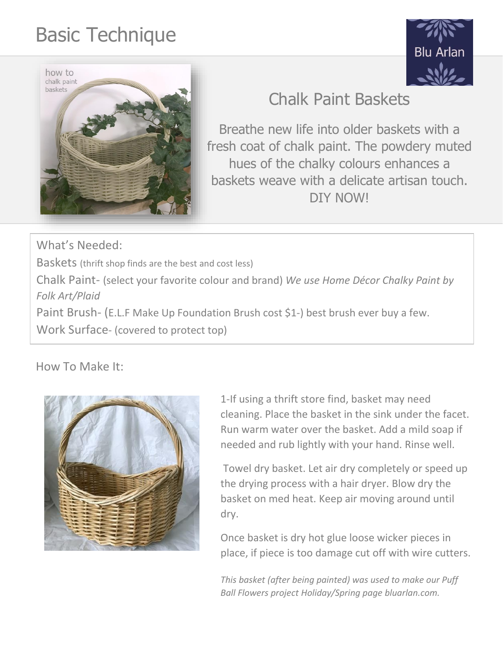## Basic Technique





## Chalk Paint Baskets

Breathe new life into older baskets with a fresh coat of chalk paint. The powdery muted hues of the chalky colours enhances a baskets weave with a delicate artisan touch. DIY NOW!

What's Needed:

Baskets (thrift shop finds are the best and cost less)

Chalk Paint- (select your favorite colour and brand) *We use Home Décor Chalky Paint by Folk Art/Plaid*

Paint Brush- (E.L.F Make Up Foundation Brush cost \$1-) best brush ever buy a few.

Work Surface- (covered to protect top)

## How To Make It:



1-If using a thrift store find, basket may need cleaning. Place the basket in the sink under the facet. Run warm water over the basket. Add a mild soap if needed and rub lightly with your hand. Rinse well.

Towel dry basket. Let air dry completely or speed up the drying process with a hair dryer. Blow dry the basket on med heat. Keep air moving around until dry.

Once basket is dry hot glue loose wicker pieces in place, if piece is too damage cut off with wire cutters.

*This basket (after being painted) was used to make our Puff Ball Flowers project Holiday/Spring page bluarlan.com.*